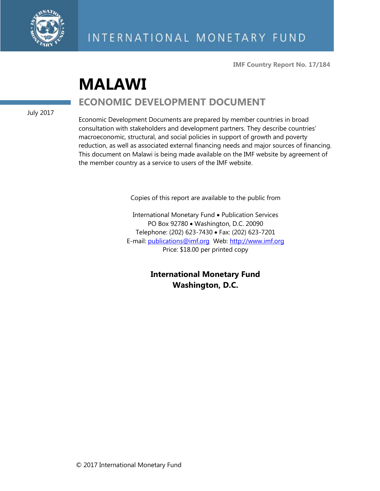

**IMF Country Report No. 17/184**

# **MALAWI ECONOMIC DEVELOPMENT DOCUMENT**

July 2017

Economic Development Documents are prepared by member countries in broad consultation with stakeholders and development partners. They describe countries' macroeconomic, structural, and social policies in support of growth and poverty reduction, as well as associated external financing needs and major sources of financing. This document on Malawi is being made available on the IMF website by agreement of the member country as a service to users of the IMF website.

Copies of this report are available to the public from

International Monetary Fund • Publication Services PO Box 92780 • Washington, D.C. 20090 Telephone: (202) 623-7430 Fax: (202) 623-7201 E-mail: [publications@imf.org](mailto:publications@imf.org) Web: [http://www.imf.org](http://www.imf.org/) Price: \$18.00 per printed copy

> **International Monetary Fund Washington, D.C.**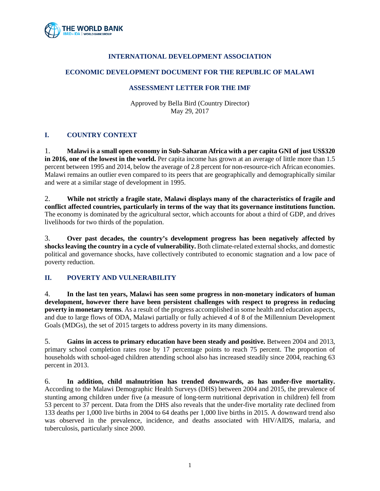

# **INTERNATIONAL DEVELOPMENT ASSOCIATION**

### **ECONOMIC DEVELOPMENT DOCUMENT FOR THE REPUBLIC OF MALAWI**

#### **ASSESSMENT LETTER FOR THE IMF**

Approved by Bella Bird (Country Director) May 29, 2017

# **I. COUNTRY CONTEXT**

1. **Malawi is a small open economy in Sub-Saharan Africa with a per capita GNI of just US\$320 in 2016, one of the lowest in the world.** Per capita income has grown at an average of little more than 1.5 percent between 1995 and 2014, below the average of 2.8 percent for non-resource-rich African economies. Malawi remains an outlier even compared to its peers that are geographically and demographically similar and were at a similar stage of development in 1995.

2. **While not strictly a fragile state, Malawi displays many of the characteristics of fragile and conflict affected countries, particularly in terms of the way that its governance institutions function.** The economy is dominated by the agricultural sector, which accounts for about a third of GDP, and drives livelihoods for two thirds of the population.

3. **Over past decades, the country's development progress has been negatively affected by shocksleaving the country in a cycle of vulnerability.** Both climate-related external shocks, and domestic political and governance shocks, have collectively contributed to economic stagnation and a low pace of poverty reduction.

# **II. POVERTY AND VULNERABILITY**

4. **In the last ten years, Malawi has seen some progress in non-monetary indicators of human development, however there have been persistent challenges with respect to progress in reducing poverty in monetary terms**. As a result of the progress accomplished in some health and education aspects, and due to large flows of ODA, Malawi partially or fully achieved 4 of 8 of the Millennium Development Goals (MDGs), the set of 2015 targets to address poverty in its many dimensions.

5. **Gains in access to primary education have been steady and positive.** Between 2004 and 2013, primary school completion rates rose by 17 percentage points to reach 75 percent. The proportion of households with school-aged children attending school also has increased steadily since 2004, reaching 63 percent in 2013.

6. **In addition, child malnutrition has trended downwards, as has under-five mortality.**  According to the Malawi Demographic Health Surveys (DHS) between 2004 and 2015, the prevalence of stunting among children under five (a measure of long-term nutritional deprivation in children) fell from 53 percent to 37 percent. Data from the DHS also reveals that the under-five mortality rate declined from 133 deaths per 1,000 live births in 2004 to 64 deaths per 1,000 live births in 2015. A downward trend also was observed in the prevalence, incidence, and deaths associated with HIV/AIDS, malaria, and tuberculosis, particularly since 2000.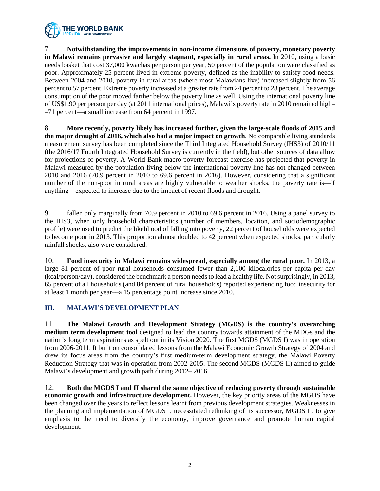

7. **Notwithstanding the improvements in non-income dimensions of poverty, monetary poverty in Malawi remains pervasive and largely stagnant, especially in rural areas.** In 2010, using a basic needs basket that cost 37,000 kwachas per person per year, 50 percent of the population were classified as poor. Approximately 25 percent lived in extreme poverty, defined as the inability to satisfy food needs. Between 2004 and 2010, poverty in rural areas (where most Malawians live) increased slightly from 56 percent to 57 percent. Extreme poverty increased at a greater rate from 24 percent to 28 percent. The average consumption of the poor moved farther below the poverty line as well. Using the international poverty line of US\$1.90 per person per day (at 2011 international prices), Malawi's poverty rate in 2010 remained high– –71 percent––a small increase from 64 percent in 1997.

8. **More recently, poverty likely has increased further, given the large-scale floods of 2015 and the major drought of 2016, which also had a major impact on growth**. No comparable living standards measurement survey has been completed since the Third Integrated Household Survey (IHS3) of 2010/11 (the 2016/17 Fourth Integrated Household Survey is currently in the field), but other sources of data allow for projections of poverty. A World Bank macro-poverty forecast exercise has projected that poverty in Malawi measured by the population living below the international poverty line has not changed between 2010 and 2016 (70.9 percent in 2010 to 69.6 percent in 2016). However, considering that a significant number of the non-poor in rural areas are highly vulnerable to weather shocks, the poverty rate is—if anything—expected to increase due to the impact of recent floods and drought.

9. fallen only marginally from 70.9 percent in 2010 to 69.6 percent in 2016. Using a panel survey to the IHS3, when only household characteristics (number of members, location, and sociodemographic profile) were used to predict the likelihood of falling into poverty, 22 percent of households were expected to become poor in 2013. This proportion almost doubled to 42 percent when expected shocks, particularly rainfall shocks, also were considered.

10. **Food insecurity in Malawi remains widespread, especially among the rural poor.** In 2013, a large 81 percent of poor rural households consumed fewer than 2,100 kilocalories per capita per day (kcal/person/day), considered the benchmark a person needs to lead a healthy life. Not surprisingly, in 2013, 65 percent of all households (and 84 percent of rural households) reported experiencing food insecurity for at least 1 month per year––a 15 percentage point increase since 2010.

# **III. MALAWI'S DEVELOPMENT PLAN**

11. **The Malawi Growth and Development Strategy (MGDS) is the country's overarching medium term development tool** designed to lead the country towards attainment of the MDGs and the nation's long term aspirations as spelt out in its Vision 2020. The first MGDS (MGDS I) was in operation from 2006-2011. It built on consolidated lessons from the Malawi Economic Growth Strategy of 2004 and drew its focus areas from the country's first medium-term development strategy, the Malawi Poverty Reduction Strategy that was in operation from 2002-2005. The second MGDS (MGDS II) aimed to guide Malawi's development and growth path during 2012– 2016.

12. **Both the MGDS I and II shared the same objective of reducing poverty through sustainable economic growth and infrastructure development.** However, the key priority areas of the MGDS have been changed over the years to reflect lessons learnt from previous development strategies. Weaknesses in the planning and implementation of MGDS I, necessitated rethinking of its successor, MGDS II, to give emphasis to the need to diversify the economy, improve governance and promote human capital development.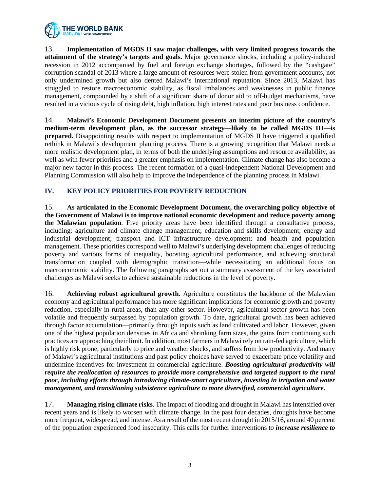

13. **Implementation of MGDS II saw major challenges, with very limited progress towards the attainment of the strategy's targets and goals.** Major governance shocks, including a policy-induced recession in 2012 accompanied by fuel and foreign exchange shortages, followed by the "cashgate" corruption scandal of 2013 where a large amount of resources were stolen from government accounts, not only undermined growth but also dented Malawi's international reputation. Since 2013, Malawi has struggled to restore macroeconomic stability, as fiscal imbalances and weaknesses in public finance management, compounded by a shift of a significant share of donor aid to off-budget mechanisms, have resulted in a vicious cycle of rising debt, high inflation, high interest rates and poor business confidence.

14. **Malawi's Economic Development Document presents an interim picture of the country's medium-term development plan, as the successor strategy—likely to be called MGDS III—is prepared.** Disappointing results with respect to implementation of MGDS II have triggered a qualified rethink in Malawi's development planning process. There is a growing recognition that Malawi needs a more realistic development plan, in terms of both the underlying assumptions and resource availability, as well as with fewer priorities and a greater emphasis on implementation. Climate change has also become a major new factor in this process. The recent formation of a quasi-independent National Development and Planning Commission will also help to improve the independence of the planning process in Malawi.

# **IV. KEY POLICY PRIORITIES FOR POVERTY REDUCTION**

15. **As articulated in the Economic Development Document, the overarching policy objective of the Government of Malawi is to improve national economic development and reduce poverty among the Malawian population**. Five priority areas have been identified through a consultative process, including: agriculture and climate change management; education and skills development; energy and industrial development; transport and ICT infrastructure development; and health and population management. These priorities correspond well to Malawi's underlying development challenges of reducing poverty and various forms of inequality, boosting agricultural performance, and achieving structural transformation coupled with demographic transition—while necessitating an additional focus on macroeconomic stability. The following paragraphs set out a summary assessment of the key associated challenges as Malawi seeks to achieve sustainable reductions in the level of poverty.

16. **Achieving robust agricultural growth**. Agriculture constitutes the backbone of the Malawian economy and agricultural performance has more significant implications for economic growth and poverty reduction, especially in rural areas, than any other sector. However, agricultural sector growth has been volatile and frequently surpassed by population growth. To date, agricultural growth has been achieved through factor accumulation—primarily through inputs such as land cultivated and labor. However, given one of the highest population densities in Africa and shrinking farm sizes, the gains from continuing such practices are approaching their limit. In addition, most farmers in Malawi rely on rain-fed agriculture, which is highly risk prone, particularly to price and weather shocks, and suffers from low productivity. And many of Malawi's agricultural institutions and past policy choices have served to exacerbate price volatility and undermine incentives for investment in commercial agriculture. *Boosting agricultural productivity will require the reallocation of resources to provide more comprehensive and targeted support to the rural poor, including efforts through introducing climate-smart agriculture, investing in irrigation and water management, and transitioning subsistence agriculture to more diversified, commercial agriculture.*

17. **Managing rising climate risks**. The impact of flooding and drought in Malawi has intensified over recent years and is likely to worsen with climate change. In the past four decades, droughts have become more frequent, widespread, and intense. As a result of the most recent drought in 2015/16, around 40 percent of the population experienced food insecurity. This calls for further interventions to *increase resilience to*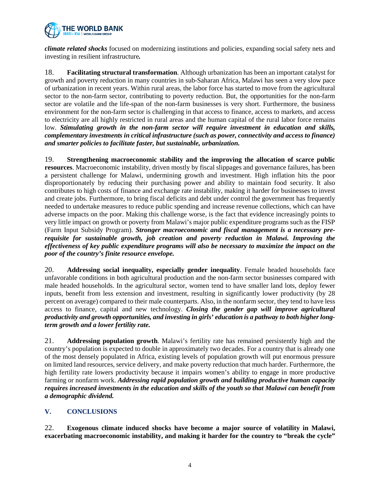

*climate related shocks* focused on modernizing institutions and policies, expanding social safety nets and investing in resilient infrastructure*.*

18. **Facilitating structural transformation**. Although urbanization has been an important catalyst for growth and poverty reduction in many countries in sub-Saharan Africa, Malawi has seen a very slow pace of urbanization in recent years. Within rural areas, the labor force has started to move from the agricultural sector to the non-farm sector, contributing to poverty reduction. But, the opportunities for the non-farm sector are volatile and the life-span of the non-farm businesses is very short. Furthermore, the business environment for the non-farm sector is challenging in that access to finance, access to markets, and access to electricity are all highly restricted in rural areas and the human capital of the rural labor force remains low. *Stimulating growth in the non-farm sector will require investment in education and skills, complementary investments in critical infrastructure (such as power, connectivity and access to finance) and smarter policies to facilitate faster, but sustainable, urbanization.*

19. **Strengthening macroeconomic stability and the improving the allocation of scarce public resources**. Macroeconomic instability, driven mostly by fiscal slippages and governance failures, has been a persistent challenge for Malawi, undermining growth and investment. High inflation hits the poor disproportionately by reducing their purchasing power and ability to maintain food security. It also contributes to high costs of finance and exchange rate instability, making it harder for businesses to invest and create jobs. Furthermore, to bring fiscal deficits and debt under control the government has frequently needed to undertake measures to reduce public spending and increase revenue collections, which can have adverse impacts on the poor. Making this challenge worse, is the fact that evidence increasingly points to very little impact on growth or poverty from Malawi's major public expenditure programs such as the FISP (Farm Input Subsidy Program). *Stronger macroeconomic and fiscal management is a necessary prerequisite for sustainable growth, job creation and poverty reduction in Malawi. Improving the effectiveness of key public expenditure programs will also be necessary to maximize the impact on the poor of the country's finite resource envelope.*

20. **Addressing social inequality, especially gender inequality**. Female headed households face unfavorable conditions in both agricultural production and the non-farm sector businesses compared with male headed households. In the agricultural sector, women tend to have smaller land lots, deploy fewer inputs, benefit from less extension and investment, resulting in significantly lower productivity (by 28 percent on average) compared to their male counterparts. Also, in the nonfarm sector, they tend to have less access to finance, capital and new technology. *Closing the gender gap will improve agricultural productivity and growth opportunities, and investing in girls' education is a pathway to both higher longterm growth and a lower fertility rate.*

21. **Addressing population growth**. Malawi's fertility rate has remained persistently high and the country's population is expected to double in approximately two decades. For a country that is already one of the most densely populated in Africa, existing levels of population growth will put enormous pressure on limited land resources, service delivery, and make poverty reduction that much harder. Furthermore, the high fertility rate lowers productivity because it impairs women's ability to engage in more productive farming or nonfarm work. *Addressing rapid population growth and building productive human capacity requires increased investments in the education and skills of the youth so that Malawi can benefit from a demographic dividend.*

# **V. CONCLUSIONS**

22. **Exogenous climate induced shocks have become a major source of volatility in Malawi, exacerbating macroeconomic instability, and making it harder for the country to "break the cycle"**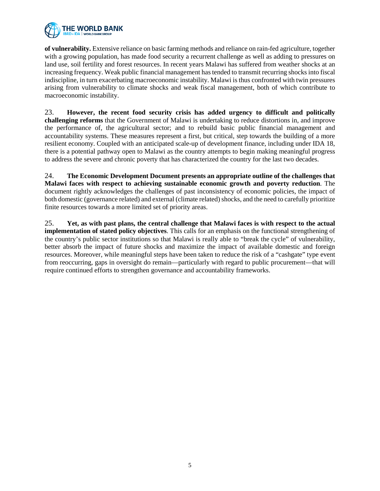

**of vulnerability.** Extensive reliance on basic farming methods and reliance on rain-fed agriculture, together with a growing population, has made food security a recurrent challenge as well as adding to pressures on land use, soil fertility and forest resources. In recent years Malawi has suffered from weather shocks at an increasing frequency. Weak public financial management has tended to transmit recurring shocks into fiscal indiscipline, in turn exacerbating macroeconomic instability. Malawi is thus confronted with twin pressures arising from vulnerability to climate shocks and weak fiscal management, both of which contribute to macroeconomic instability.

23. **However, the recent food security crisis has added urgency to difficult and politically challenging reforms** that the Government of Malawi is undertaking to reduce distortions in, and improve the performance of, the agricultural sector; and to rebuild basic public financial management and accountability systems. These measures represent a first, but critical, step towards the building of a more resilient economy. Coupled with an anticipated scale-up of development finance, including under IDA 18, there is a potential pathway open to Malawi as the country attempts to begin making meaningful progress to address the severe and chronic poverty that has characterized the country for the last two decades.

24. **The Economic Development Document presents an appropriate outline of the challenges that Malawi faces with respect to achieving sustainable economic growth and poverty reduction**. The document rightly acknowledges the challenges of past inconsistency of economic policies, the impact of both domestic (governance related) and external (climate related) shocks, and the need to carefully prioritize finite resources towards a more limited set of priority areas.

25. **Yet, as with past plans, the central challenge that Malawi faces is with respect to the actual implementation of stated policy objectives**. This calls for an emphasis on the functional strengthening of the country's public sector institutions so that Malawi is really able to "break the cycle" of vulnerability, better absorb the impact of future shocks and maximize the impact of available domestic and foreign resources. Moreover, while meaningful steps have been taken to reduce the risk of a "cashgate" type event from reoccurring, gaps in oversight do remain—particularly with regard to public procurement—that will require continued efforts to strengthen governance and accountability frameworks.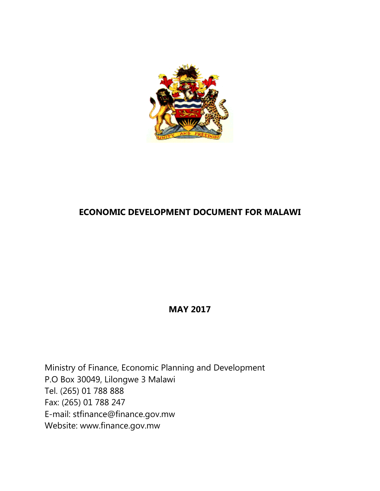

# **ECONOMIC DEVELOPMENT DOCUMENT FOR MALAWI**

**MAY 2017**

Ministry of Finance, Economic Planning and Development P.O Box 30049, Lilongwe 3 Malawi Tel. (265) 01 788 888 Fax: (265) 01 788 247 E-mail: stfinance@finance.gov.mw Website: www.finance.gov.mw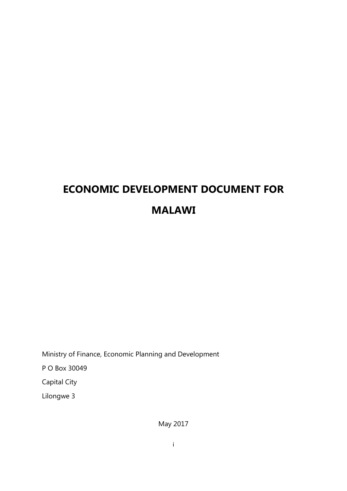# **ECONOMIC DEVELOPMENT DOCUMENT FOR MALAWI**

Ministry of Finance, Economic Planning and Development P O Box 30049 Capital City Lilongwe 3

May 2017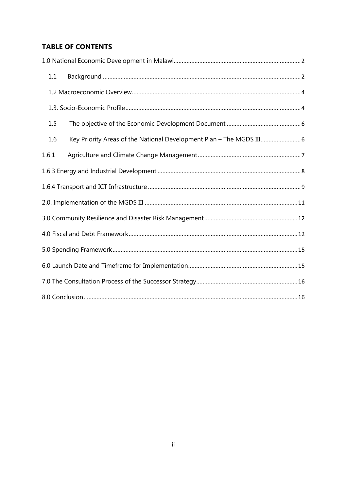# **TABLE OF CONTENTS**

| 1.1   |                                                                      |  |  |  |
|-------|----------------------------------------------------------------------|--|--|--|
|       |                                                                      |  |  |  |
|       |                                                                      |  |  |  |
| 1.5   |                                                                      |  |  |  |
| 1.6   | Key Priority Areas of the National Development Plan - The MGDS III 6 |  |  |  |
| 1.6.1 |                                                                      |  |  |  |
|       |                                                                      |  |  |  |
|       |                                                                      |  |  |  |
|       |                                                                      |  |  |  |
|       |                                                                      |  |  |  |
|       |                                                                      |  |  |  |
|       |                                                                      |  |  |  |
|       |                                                                      |  |  |  |
|       |                                                                      |  |  |  |
|       |                                                                      |  |  |  |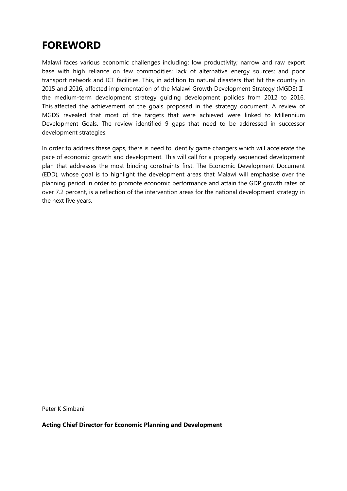# **FOREWORD**

Malawi faces various economic challenges including: low productivity; narrow and raw export base with high reliance on few commodities; lack of alternative energy sources; and poor transport network and ICT facilities. This, in addition to natural disasters that hit the country in 2015 and 2016, affected implementation of the Malawi Growth Development Strategy (MGDS) IIthe medium-term development strategy guiding development policies from 2012 to 2016. This affected the achievement of the goals proposed in the strategy document. A review of MGDS revealed that most of the targets that were achieved were linked to Millennium Development Goals. The review identified 9 gaps that need to be addressed in successor development strategies.

In order to address these gaps, there is need to identify game changers which will accelerate the pace of economic growth and development. This will call for a properly sequenced development plan that addresses the most binding constraints first. The Economic Development Document (EDD), whose goal is to highlight the development areas that Malawi will emphasise over the planning period in order to promote economic performance and attain the GDP growth rates of over 7.2 percent, is a reflection of the intervention areas for the national development strategy in the next five years.

Peter K Simbani

**Acting Chief Director for Economic Planning and Development**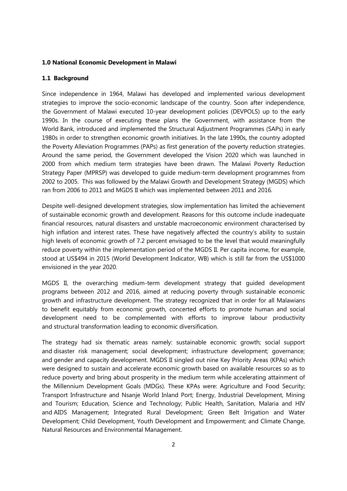#### <span id="page-10-0"></span>**1.0 National Economic Development in Malawi**

#### <span id="page-10-1"></span>**1.1 Background**

Since independence in 1964, Malawi has developed and implemented various development strategies to improve the socio-economic landscape of the country. Soon after independence, the Government of Malawi executed 10-year development policies (DEVPOLS) up to the early 1990s. In the course of executing these plans the Government, with assistance from the World Bank, introduced and implemented the Structural Adjustment Programmes (SAPs) in early 1980s in order to strengthen economic growth initiatives. In the late 1990s, the country adopted the Poverty Alleviation Programmes (PAPs) as first generation of the poverty reduction strategies. Around the same period, the Government developed the Vision 2020 which was launched in 2000 from which medium term strategies have been drawn. The Malawi Poverty Reduction Strategy Paper (MPRSP) was developed to guide medium-term development programmes from 2002 to 2005. This was followed by the Malawi Growth and Development Strategy (MGDS) which ran from 2006 to 2011 and MGDS II which was implemented between 2011 and 2016.

Despite well-designed development strategies, slow implementation has limited the achievement of sustainable economic growth and development. Reasons for this outcome include inadequate financial resources, natural disasters and unstable macroeconomic environment characterised by high inflation and interest rates. These have negatively affected the country's ability to sustain high levels of economic growth of 7.2 percent envisaged to be the level that would meaningfully reduce poverty within the implementation period of the MGDS II. Per capita income, for example, stood at US\$494 in 2015 (World Development Indicator, WB) which is still far from the US\$1000 envisioned in the year 2020.

MGDS II, the overarching medium-term development strategy that guided development programs between 2012 and 2016, aimed at reducing poverty through sustainable economic growth and infrastructure development. The strategy recognized that in order for all Malawians to benefit equitably from economic growth, concerted efforts to promote human and social development need to be complemented with efforts to improve labour productivity and structural transformation leading to economic diversification.

The strategy had six thematic areas namely: sustainable economic growth; social support and disaster risk management; social development; infrastructure development; governance; and gender and capacity development. MGDS II singled out nine Key Priority Areas (KPAs) which were designed to sustain and accelerate economic growth based on available resources so as to reduce poverty and bring about prosperity in the medium term while accelerating attainment of the Millennium Development Goals (MDGs). These KPAs were: Agriculture and Food Security; Transport Infrastructure and Nsanje World Inland Port; Energy, Industrial Development, Mining and Tourism; Education, Science and Technology; Public Health, Sanitation, Malaria and HIV and AIDS Management; Integrated Rural Development; Green Belt Irrigation and Water Development; Child Development, Youth Development and Empowerment; and Climate Change, Natural Resources and Environmental Management.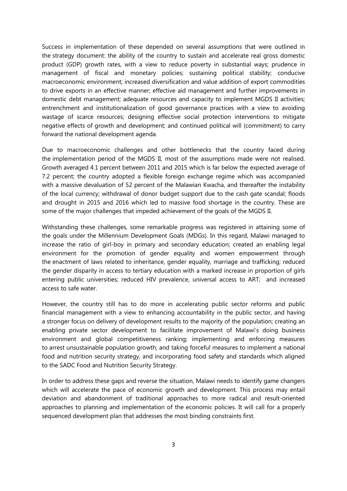Success in implementation of these depended on several assumptions that were outlined in the strategy document: the ability of the country to sustain and accelerate real gross domestic product (GDP) growth rates, with a view to reduce poverty in substantial ways; prudence in management of fiscal and monetary policies; sustaining political stability; conducive macroeconomic environment; increased diversification and value addition of export commodities to drive exports in an effective manner; effective aid management and further improvements in domestic debt management; adequate resources and capacity to implement MGDS II activities; entrenchment and institutionalization of good governance practices with a view to avoiding wastage of scarce resources; designing effective social protection interventions to mitigate negative effects of growth and development; and continued political will (commitment) to carry forward the national development agenda.

Due to macroeconomic challenges and other bottlenecks that the country faced during the implementation period of the MGDS II, most of the assumptions made were not realised. Growth averaged 4.1 percent between 2011 and 2015 which is far below the expected average of 7.2 percent; the country adopted a flexible foreign exchange regime which was accompanied with a massive devaluation of 52 percent of the Malawian Kwacha, and thereafter the instability of the local currency; withdrawal of donor budget support due to the cash gate scandal; floods and drought in 2015 and 2016 which led to massive food shortage in the country. These are some of the major challenges that impeded achievement of the goals of the MGDS II.

Withstanding these challenges, some remarkable progress was registered in attaining some of the goals under the Millennium Development Goals (MDGs). In this regard, Malawi managed to increase the ratio of girl-boy in primary and secondary education; created an enabling legal environment for the promotion of gender equality and women empowerment through the enactment of laws related to inheritance, gender equality, marriage and trafficking; reduced the gender disparity in access to tertiary education with a marked increase in proportion of girls entering public universities; reduced HIV prevalence, universal access to ART; and increased access to safe water.

However, the country still has to do more in accelerating public sector reforms and public financial management with a view to enhancing accountability in the public sector, and having a stronger focus on delivery of development results to the majority of the population; creating an enabling private sector development to facilitate improvement of Malawi's doing business environment and global competitiveness ranking; implementing and enforcing measures to arrest unsustainable population growth; and taking forceful measures to implement a national food and nutrition security strategy, and incorporating food safety and standards which aligned to the SADC Food and Nutrition Security Strategy.

In order to address these gaps and reverse the situation, Malawi needs to identify game changers which will accelerate the pace of economic growth and development. This process may entail deviation and abandonment of traditional approaches to more radical and result-oriented approaches to planning and implementation of the economic policies. It will call for a properly sequenced development plan that addresses the most binding constraints first.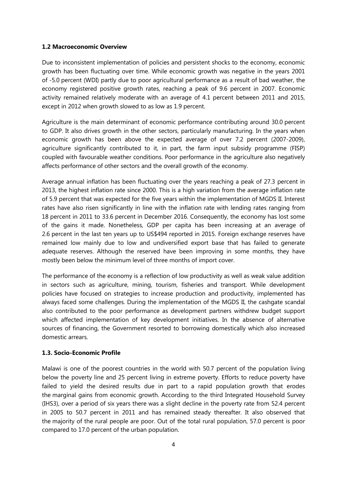#### <span id="page-12-0"></span>**1.2 Macroeconomic Overview**

Due to inconsistent implementation of policies and persistent shocks to the economy, economic growth has been fluctuating over time. While economic growth was negative in the years 2001 of -5.0 percent (WDI) partly due to poor agricultural performance as a result of bad weather, the economy registered positive growth rates, reaching a peak of 9.6 percent in 2007. Economic activity remained relatively moderate with an average of 4.1 percent between 2011 and 2015, except in 2012 when growth slowed to as low as 1.9 percent.

Agriculture is the main determinant of economic performance contributing around 30.0 percent to GDP. It also drives growth in the other sectors, particularly manufacturing. In the years when economic growth has been above the expected average of over 7.2 percent (2007-2009), agriculture significantly contributed to it, in part, the farm input subsidy programme (FISP) coupled with favourable weather conditions. Poor performance in the agriculture also negatively affects performance of other sectors and the overall growth of the economy.

Average annual inflation has been fluctuating over the years reaching a peak of 27.3 percent in 2013, the highest inflation rate since 2000. This is a high variation from the average inflation rate of 5.9 percent that was expected for the five years within the implementation of MGDS II. Interest rates have also risen significantly in line with the inflation rate with lending rates ranging from 18 percent in 2011 to 33.6 percent in December 2016. Consequently, the economy has lost some of the gains it made. Nonetheless, GDP per capita has been increasing at an average of 2.6 percent in the last ten years up to US\$494 reported in 2015. Foreign exchange reserves have remained low mainly due to low and undiversified export base that has failed to generate adequate reserves. Although the reserved have been improving in some months, they have mostly been below the minimum level of three months of import cover.

The performance of the economy is a reflection of low productivity as well as weak value addition in sectors such as agriculture, mining, tourism, fisheries and transport. While development policies have focused on strategies to increase production and productivity, implemented has always faced some challenges. During the implementation of the MGDS II, the cashgate scandal also contributed to the poor performance as development partners withdrew budget support which affected implementation of key development initiatives. In the absence of alternative sources of financing, the Government resorted to borrowing domestically which also increased domestic arrears.

#### <span id="page-12-1"></span>**1.3. Socio-Economic Profile**

Malawi is one of the poorest countries in the world with 50.7 percent of the population living below the poverty line and 25 percent living in extreme poverty. Efforts to reduce poverty have failed to yield the desired results due in part to a rapid population growth that erodes the marginal gains from economic growth. According to the third Integrated Household Survey (IHS3), over a period of six years there was a slight decline in the poverty rate from 52.4 percent in 2005 to 50.7 percent in 2011 and has remained steady thereafter*.* It also observed that the majority of the rural people are poor. Out of the total rural population, 57.0 percent is poor compared to 17.0 percent of the urban population.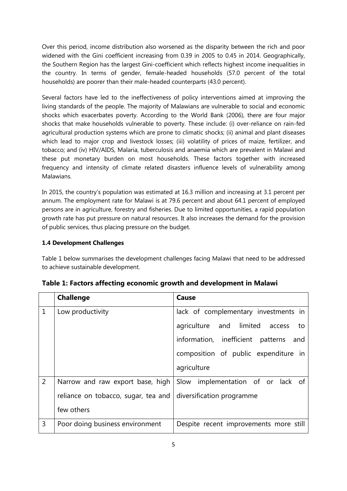Over this period, income distribution also worsened as the disparity between the rich and poor widened with the Gini coefficient increasing from 0.39 in 2005 to 0.45 in 2014. Geographically, the Southern Region has the largest Gini-coefficient which reflects highest income inequalities in the country. In terms of gender, female-headed households (57.0 percent of the total households) are poorer than their male-headed counterparts (43.0 percent).

Several factors have led to the ineffectiveness of policy interventions aimed at improving the living standards of the people. The majority of Malawians are vulnerable to social and economic shocks which exacerbates poverty. According to the World Bank (2006), there are four major shocks that make households vulnerable to poverty. These include: (i) over-reliance on rain-fed agricultural production systems which are prone to climatic shocks; (ii) animal and plant diseases which lead to major crop and livestock losses; (iii) volatility of prices of maize, fertilizer, and tobacco; and (iv) HIV/AIDS, Malaria, tuberculosis and anaemia which are prevalent in Malawi and these put monetary burden on most households. These factors together with increased frequency and intensity of climate related disasters influence levels of vulnerability among Malawians.

In 2015, the country's population was estimated at 16.3 million and increasing at 3.1 percent per annum. The employment rate for Malawi is at 79.6 percent and about 64.1 percent of employed persons are in agriculture, forestry and fisheries. Due to limited opportunities, a rapid population growth rate has put pressure on natural resources. It also increases the demand for the provision of public services, thus placing pressure on the budget.

# **1.4 Development Challenges**

Table 1 below summarises the development challenges facing Malawi that need to be addressed to achieve sustainable development.

|                | <b>Challenge</b>                    | Cause                                                              |  |  |  |
|----------------|-------------------------------------|--------------------------------------------------------------------|--|--|--|
| $\mathbf{1}$   | Low productivity                    | lack of complementary investments in                               |  |  |  |
|                |                                     | agriculture and limited access<br>to to                            |  |  |  |
|                |                                     | information, inefficient patterns<br>and                           |  |  |  |
|                |                                     | composition of public expenditure in                               |  |  |  |
|                |                                     | agriculture                                                        |  |  |  |
| $\overline{2}$ |                                     | Narrow and raw export base, high Slow implementation of or lack of |  |  |  |
|                | reliance on tobacco, sugar, tea and | diversification programme                                          |  |  |  |
|                | few others                          |                                                                    |  |  |  |
| 3              | Poor doing business environment     | Despite recent improvements more still                             |  |  |  |

**Table 1: Factors affecting economic growth and development in Malawi**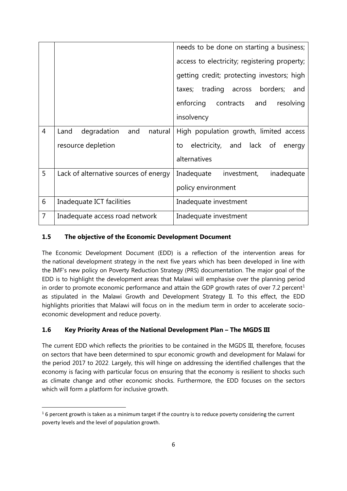|                |                                       | needs to be done on starting a business;<br>access to electricity; registering property;<br>getting credit; protecting investors; high<br>taxes; trading across borders;<br>and<br>enforcing contracts<br>and<br>resolving |  |  |  |
|----------------|---------------------------------------|----------------------------------------------------------------------------------------------------------------------------------------------------------------------------------------------------------------------------|--|--|--|
|                |                                       | insolvency                                                                                                                                                                                                                 |  |  |  |
| $\overline{4}$ | and<br>Land<br>degradation<br>natural | High population growth, limited access                                                                                                                                                                                     |  |  |  |
|                | resource depletion                    | electricity, and lack of<br>to<br>energy                                                                                                                                                                                   |  |  |  |
|                |                                       | alternatives                                                                                                                                                                                                               |  |  |  |
| 5              | Lack of alternative sources of energy | Inadequate investment,<br>inadequate                                                                                                                                                                                       |  |  |  |
|                |                                       | policy environment                                                                                                                                                                                                         |  |  |  |
| 6              | Inadequate ICT facilities             | Inadequate investment                                                                                                                                                                                                      |  |  |  |
| $\overline{7}$ | Inadequate access road network        | Inadequate investment                                                                                                                                                                                                      |  |  |  |

# <span id="page-14-0"></span>**1.5 The objective of the Economic Development Document**

The Economic Development Document (EDD) is a reflection of the intervention areas for the national development strategy in the next five years which has been developed in line with the IMF's new policy on Poverty Reduction Strategy (PRS) documentation. The major goal of the EDD is to highlight the development areas that Malawi will emphasise over the planning period in order to promote economic performance and attain the GDP growth rates of over 7.2 percent<sup>[1](#page-14-2)</sup> as stipulated in the Malawi Growth and Development Strategy II. To this effect, the EDD highlights priorities that Malawi will focus on in the medium term in order to accelerate socioeconomic development and reduce poverty.

# <span id="page-14-1"></span>**1.6 Key Priority Areas of the National Development Plan – The MGDS III**

The current EDD which reflects the priorities to be contained in the MGDS III, therefore, focuses on sectors that have been determined to spur economic growth and development for Malawi for the period 2017 to 2022. Largely, this will hinge on addressing the identified challenges that the economy is facing with particular focus on ensuring that the economy is resilient to shocks such as climate change and other economic shocks. Furthermore, the EDD focuses on the sectors which will form a platform for inclusive growth.

<span id="page-14-2"></span> $16$  percent growth is taken as a minimum target if the country is to reduce poverty considering the current poverty levels and the level of population growth.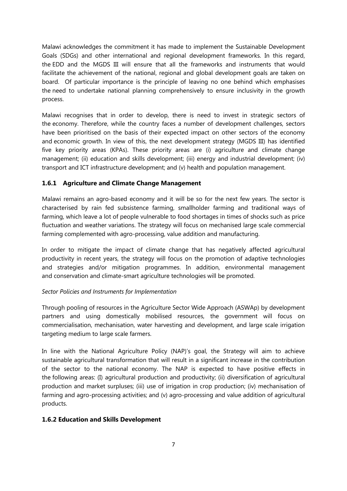Malawi acknowledges the commitment it has made to implement the Sustainable Development Goals (SDGs) and other international and regional development frameworks. In this regard, the EDD and the MGDS III will ensure that all the frameworks and instruments that would facilitate the achievement of the national, regional and global development goals are taken on board. Of particular importance is the principle of leaving no one behind which emphasises the need to undertake national planning comprehensively to ensure inclusivity in the growth process.

Malawi recognises that in order to develop, there is need to invest in strategic sectors of the economy. Therefore, while the country faces a number of development challenges, sectors have been prioritised on the basis of their expected impact on other sectors of the economy and economic growth. In view of this, the next development strategy (MGDS III) has identified five key priority areas (KPAs). These priority areas are (i) agriculture and climate change management; (ii) education and skills development; (iii) energy and industrial development; (iv) transport and ICT infrastructure development; and (v) health and population management.

# <span id="page-15-0"></span>**1.6.1 Agriculture and Climate Change Management**

Malawi remains an agro-based economy and it will be so for the next few years. The sector is characterised by rain fed subsistence farming, smallholder farming and traditional ways of farming, which leave a lot of people vulnerable to food shortages in times of shocks such as price fluctuation and weather variations. The strategy will focus on mechanised large scale commercial farming complemented with agro-processing, value addition and manufacturing.

In order to mitigate the impact of climate change that has negatively affected agricultural productivity in recent years, the strategy will focus on the promotion of adaptive technologies and strategies and/or mitigation programmes. In addition, environmental management and conservation and climate-smart agriculture technologies will be promoted.

# *Sector Policies and Instruments for Implementation*

Through pooling of resources in the Agriculture Sector Wide Approach (ASWAp) by development partners and using domestically mobilised resources, the government will focus on commercialisation, mechanisation, water harvesting and development, and large scale irrigation targeting medium to large scale farmers.

In line with the National Agriculture Policy (NAP)'s goal, the Strategy will aim to achieve sustainable agricultural transformation that will result in a significant increase in the contribution of the sector to the national economy. The NAP is expected to have positive effects in the following areas: (I) agricultural production and productivity; (ii) diversification of agricultural production and market surpluses; (iii) use of irrigation in crop production; (iv) mechanisation of farming and agro-processing activities; and (v) agro-processing and value addition of agricultural products.

# **1.6.2 Education and Skills Development**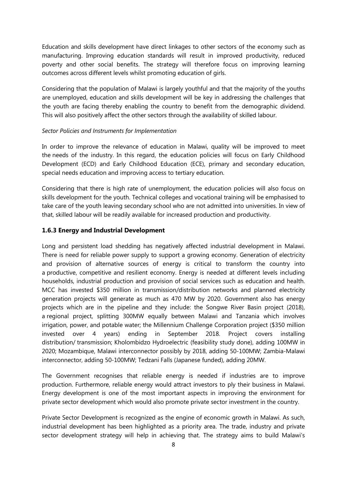Education and skills development have direct linkages to other sectors of the economy such as manufacturing. Improving education standards will result in improved productivity, reduced poverty and other social benefits. The strategy will therefore focus on improving learning outcomes across different levels whilst promoting education of girls.

Considering that the population of Malawi is largely youthful and that the majority of the youths are unemployed, education and skills development will be key in addressing the challenges that the youth are facing thereby enabling the country to benefit from the demographic dividend. This will also positively affect the other sectors through the availability of skilled labour.

#### *Sector Policies and Instruments for Implementation*

In order to improve the relevance of education in Malawi, quality will be improved to meet the needs of the industry. In this regard, the education policies will focus on Early Childhood Development (ECD) and Early Childhood Education (ECE), primary and secondary education, special needs education and improving access to tertiary education.

Considering that there is high rate of unemployment, the education policies will also focus on skills development for the youth. Technical colleges and vocational training will be emphasised to take care of the youth leaving secondary school who are not admitted into universities. In view of that, skilled labour will be readily available for increased production and productivity.

#### <span id="page-16-0"></span>**1.6.3 Energy and Industrial Development**

Long and persistent load shedding has negatively affected industrial development in Malawi. There is need for reliable power supply to support a growing economy. Generation of electricity and provision of alternative sources of energy is critical to transform the country into a productive, competitive and resilient economy. Energy is needed at different levels including households, industrial production and provision of social services such as education and health. MCC has invested \$350 million in transmission/distribution networks and planned electricity generation projects will generate as much as 470 MW by 2020. Government also has energy projects which are in the pipeline and they include: the Songwe River Basin project (2018), a regional project, splitting 300MW equally between Malawi and Tanzania which involves irrigation, power, and potable water; the Millennium Challenge Corporation project (\$350 million invested over 4 years) ending in September 2018. Project covers installing distribution/ transmission; Kholombidzo Hydroelectric (feasibility study done), adding 100MW in 2020; Mozambique, Malawi interconnector possibly by 2018, adding 50-100MW; Zambia-Malawi interconnector, adding 50-100MW; Tedzani Falls (Japanese funded), adding 20MW.

The Government recognises that reliable energy is needed if industries are to improve production. Furthermore, reliable energy would attract investors to ply their business in Malawi. Energy development is one of the most important aspects in improving the environment for private sector development which would also promote private sector investment in the country.

Private Sector Development is recognized as the engine of economic growth in Malawi. As such, industrial development has been highlighted as a priority area. The trade, industry and private sector development strategy will help in achieving that. The strategy aims to build Malawi's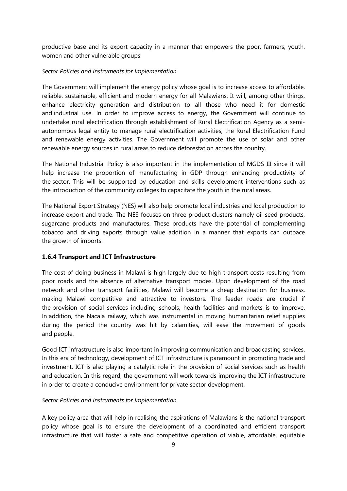productive base and its export capacity in a manner that empowers the poor, farmers, youth, women and other vulnerable groups.

#### *Sector Policies and Instruments for Implementation*

The Government will implement the energy policy whose goal is to increase access to affordable, reliable, sustainable, efficient and modern energy for all Malawians. It will, among other things, enhance electricity generation and distribution to all those who need it for domestic and industrial use. In order to improve access to energy, the Government will continue to undertake rural electrification through establishment of Rural Electrification Agency as a semiautonomous legal entity to manage rural electrification activities, the Rural Electrification Fund and renewable energy activities. The Government will promote the use of solar and other renewable energy sources in rural areas to reduce deforestation across the country.

The National Industrial Policy is also important in the implementation of MGDS III since it will help increase the proportion of manufacturing in GDP through enhancing productivity of the sector. This will be supported by education and skills development interventions such as the introduction of the community colleges to capacitate the youth in the rural areas.

The National Export Strategy (NES) will also help promote local industries and local production to increase export and trade. The NES focuses on three product clusters namely oil seed products, sugarcane products and manufactures. These products have the potential of complementing tobacco and driving exports through value addition in a manner that exports can outpace the growth of imports.

# <span id="page-17-0"></span>**1.6.4 Transport and ICT Infrastructure**

The cost of doing business in Malawi is high largely due to high transport costs resulting from poor roads and the absence of alternative transport modes. Upon development of the road network and other transport facilities, Malawi will become a cheap destination for business, making Malawi competitive and attractive to investors. The feeder roads are crucial if the provision of social services including schools, health facilities and markets is to improve. In addition, the Nacala railway, which was instrumental in moving humanitarian relief supplies during the period the country was hit by calamities, will ease the movement of goods and people.

Good ICT infrastructure is also important in improving communication and broadcasting services. In this era of technology, development of ICT infrastructure is paramount in promoting trade and investment. ICT is also playing a catalytic role in the provision of social services such as health and education. In this regard, the government will work towards improving the ICT infrastructure in order to create a conducive environment for private sector development.

#### *Sector Policies and Instruments for Implementation*

A key policy area that will help in realising the aspirations of Malawians is the national transport policy whose goal is to ensure the development of a coordinated and efficient transport infrastructure that will foster a safe and competitive operation of viable, affordable, equitable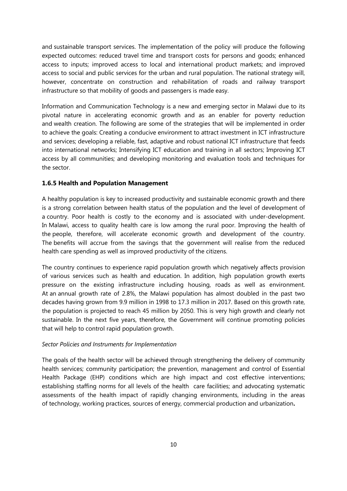and sustainable transport services. The implementation of the policy will produce the following expected outcomes: reduced travel time and transport costs for persons and goods; enhanced access to inputs; improved access to local and international product markets; and improved access to social and public services for the urban and rural population. The national strategy will, however, concentrate on construction and rehabilitation of roads and railway transport infrastructure so that mobility of goods and passengers is made easy.

Information and Communication Technology is a new and emerging sector in Malawi due to its pivotal nature in accelerating economic growth and as an enabler for poverty reduction and wealth creation. The following are some of the strategies that will be implemented in order to achieve the goals: Creating a conducive environment to attract investment in ICT infrastructure and services; developing a reliable, fast, adaptive and robust national ICT infrastructure that feeds into international networks; Intensifying ICT education and training in all sectors; Improving ICT access by all communities; and developing monitoring and evaluation tools and techniques for the sector.

#### **1.6.5 Health and Population Management**

A healthy population is key to increased productivity and sustainable economic growth and there is a strong correlation between health status of the population and the level of development of a country. Poor health is costly to the economy and is associated with under-development. In Malawi, access to quality health care is low among the rural poor. Improving the health of the people, therefore, will accelerate economic growth and development of the country. The benefits will accrue from the savings that the government will realise from the reduced health care spending as well as improved productivity of the citizens.

The country continues to experience rapid population growth which negatively affects provision of various services such as health and education. In addition, high population growth exerts pressure on the existing infrastructure including housing, roads as well as environment. At an annual growth rate of 2.8%, the Malawi population has almost doubled in the past two decades having grown from 9.9 million in 1998 to 17.3 million in 2017. Based on this growth rate, the population is projected to reach 45 million by 2050. This is very high growth and clearly not sustainable. In the next five years, therefore, the Government will continue promoting policies that will help to control rapid population growth.

#### *Sector Policies and Instruments for Implementation*

The goals of the health sector will be achieved through strengthening the delivery of community health services; community participation; the prevention, management and control of Essential Health Package (EHP) conditions which are high impact and cost effective interventions; establishing staffing norms for all levels of the health care facilities; and advocating systematic assessments of the health impact of rapidly changing environments, including in the areas of technology, working practices, sources of energy, commercial production and urbanization**.**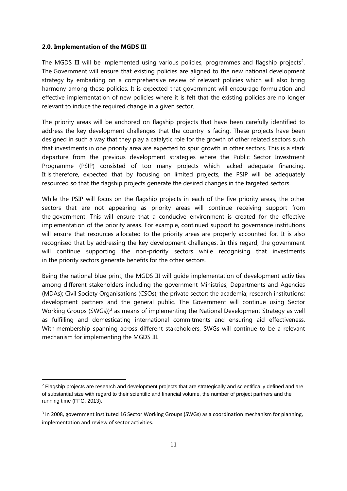#### <span id="page-19-0"></span>**2.0. Implementation of the MGDS III**

The MGDS III will be implemented using various policies, programmes and flagship projects<sup>[2](#page-19-1)</sup>. The Government will ensure that existing policies are aligned to the new national development strategy by embarking on a comprehensive review of relevant policies which will also bring harmony among these policies. It is expected that government will encourage formulation and effective implementation of new policies where it is felt that the existing policies are no longer relevant to induce the required change in a given sector.

The priority areas will be anchored on flagship projects that have been carefully identified to address the key development challenges that the country is facing. These projects have been designed in such a way that they play a catalytic role for the growth of other related sectors such that investments in one priority area are expected to spur growth in other sectors. This is a stark departure from the previous development strategies where the Public Sector Investment Programme (PSIP) consisted of too many projects which lacked adequate financing. It is therefore, expected that by focusing on limited projects, the PSIP will be adequately resourced so that the flagship projects generate the desired changes in the targeted sectors.

While the PSIP will focus on the flagship projects in each of the five priority areas, the other sectors that are not appearing as priority areas will continue receiving support from the government. This will ensure that a conducive environment is created for the effective implementation of the priority areas. For example, continued support to governance institutions will ensure that resources allocated to the priority areas are properly accounted for. It is also recognised that by addressing the key development challenges. In this regard, the government will continue supporting the non-priority sectors while recognising that investments in the priority sectors generate benefits for the other sectors.

Being the national blue print, the MGDS III will guide implementation of development activities among different stakeholders including the government Ministries, Departments and Agencies (MDAs); Civil Society Organisations (CSOs); the private sector; the academia; research institutions; development partners and the general public. The Government will continue using Sector Working Groups (SWGs))<sup>[3](#page-19-2)</sup> as means of implementing the National Development Strategy as well as fulfilling and domesticating international commitments and ensuring aid effectiveness. With membership spanning across different stakeholders, SWGs will continue to be a relevant mechanism for implementing the MGDS III.

<span id="page-19-1"></span> $2$  Flagship projects are research and development projects that are strategically and scientifically defined and are of substantial size with regard to their scientific and financial volume, the number of project partners and the running time (FFG, 2013).

<span id="page-19-2"></span><sup>&</sup>lt;sup>3</sup> In 2008, government instituted 16 Sector Working Groups (SWGs) as a coordination mechanism for planning, implementation and review of sector activities.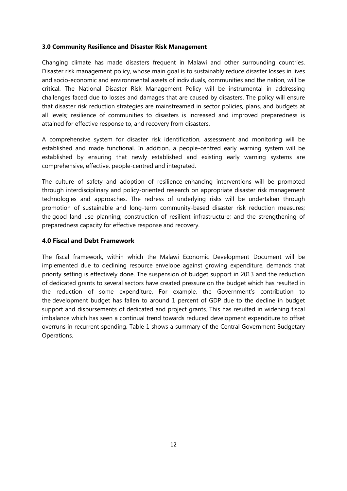#### <span id="page-20-0"></span>**3.0 Community Resilience and Disaster Risk Management**

Changing climate has made disasters frequent in Malawi and other surrounding countries. Disaster risk management policy, whose main goal is to sustainably reduce disaster losses in lives and socio-economic and environmental assets of individuals, communities and the nation, will be critical. The National Disaster Risk Management Policy will be instrumental in addressing challenges faced due to losses and damages that are caused by disasters. The policy will ensure that disaster risk reduction strategies are mainstreamed in sector policies, plans, and budgets at all levels; resilience of communities to disasters is increased and improved preparedness is attained for effective response to, and recovery from disasters.

A comprehensive system for disaster risk identification, assessment and monitoring will be established and made functional. In addition, a people-centred early warning system will be established by ensuring that newly established and existing early warning systems are comprehensive, effective, people-centred and integrated.

The culture of safety and adoption of resilience-enhancing interventions will be promoted through interdisciplinary and policy-oriented research on appropriate disaster risk management technologies and approaches. The redress of underlying risks will be undertaken through promotion of sustainable and long-term community-based disaster risk reduction measures; the good land use planning; construction of resilient infrastructure; and the strengthening of preparedness capacity for effective response and recovery.

# <span id="page-20-1"></span>**4.0 Fiscal and Debt Framework**

The fiscal framework, within which the Malawi Economic Development Document will be implemented due to declining resource envelope against growing expenditure, demands that priority setting is effectively done. The suspension of budget support in 2013 and the reduction of dedicated grants to several sectors have created pressure on the budget which has resulted in the reduction of some expenditure. For example, the Government's contribution to the development budget has fallen to around 1 percent of GDP due to the decline in budget support and disbursements of dedicated and project grants. This has resulted in widening fiscal imbalance which has seen a continual trend towards reduced development expenditure to offset overruns in recurrent spending. Table 1 shows a summary of the Central Government Budgetary Operations.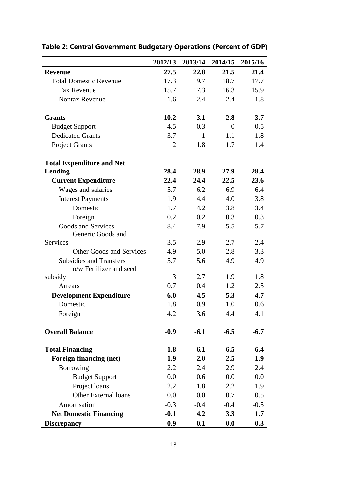|                                                           | 2012/13        | 2013/14 | 2014/15  | 2015/16 |
|-----------------------------------------------------------|----------------|---------|----------|---------|
| <b>Revenue</b>                                            | 27.5           | 22.8    | 21.5     | 21.4    |
| <b>Total Domestic Revenue</b>                             | 17.3           | 19.7    | 18.7     | 17.7    |
| <b>Tax Revenue</b>                                        | 15.7           | 17.3    | 16.3     | 15.9    |
| <b>Nontax Revenue</b>                                     | 1.6            | 2.4     | 2.4      | 1.8     |
| <b>Grants</b>                                             | 10.2           | 3.1     | 2.8      | 3.7     |
| <b>Budget Support</b>                                     | 4.5            | 0.3     | $\theta$ | 0.5     |
| <b>Dedicated Grants</b>                                   | 3.7            | 1       | 1.1      | 1.8     |
| <b>Project Grants</b>                                     | $\overline{2}$ | 1.8     | 1.7      | 1.4     |
| <b>Total Expenditure and Net</b>                          |                |         |          |         |
| Lending                                                   | 28.4           | 28.9    | 27.9     | 28.4    |
| <b>Current Expenditure</b>                                | 22.4           | 24.4    | 22.5     | 23.6    |
| Wages and salaries                                        | 5.7            | 6.2     | 6.9      | 6.4     |
| <b>Interest Payments</b>                                  | 1.9            | 4.4     | 4.0      | 3.8     |
| Domestic                                                  | 1.7            | 4.2     | 3.8      | 3.4     |
| Foreign                                                   | 0.2            | 0.2     | 0.3      | 0.3     |
| Goods and Services<br>Generic Goods and                   | 8.4            | 7.9     | 5.5      | 5.7     |
| <b>Services</b>                                           | 3.5            | 2.9     | 2.7      | 2.4     |
| <b>Other Goods and Services</b>                           | 4.9            | 5.0     | 2.8      | 3.3     |
| <b>Subsidies and Transfers</b><br>o/w Fertilizer and seed | 5.7            | 5.6     | 4.9      | 4.9     |
| subsidy                                                   | 3              | 2.7     | 1.9      | 1.8     |
| Arrears                                                   | 0.7            | 0.4     | 1.2      | 2.5     |
| <b>Development Expenditure</b>                            | 6.0            | 4.5     | 5.3      | 4.7     |
| Domestic                                                  | 1.8            | 0.9     | 1.0      | 0.6     |
| Foreign                                                   | 4.2            | 3.6     | 4.4      | 4.1     |
| <b>Overall Balance</b>                                    | $-0.9$         | $-6.1$  | $-6.5$   | $-6.7$  |
| <b>Total Financing</b>                                    | 1.8            | 6.1     | 6.5      | 6.4     |
| <b>Foreign financing (net)</b>                            | 1.9            | 2.0     | 2.5      | 1.9     |
| Borrowing                                                 | 2.2            | 2.4     | 2.9      | 2.4     |
| <b>Budget Support</b>                                     | 0.0            | 0.6     | 0.0      | 0.0     |
| Project loans                                             | 2.2            | 1.8     | 2.2      | 1.9     |
| <b>Other External loans</b>                               | 0.0            | 0.0     | 0.7      | 0.5     |
| Amortisation                                              | $-0.3$         | $-0.4$  | $-0.4$   | $-0.5$  |
| <b>Net Domestic Financing</b>                             | $-0.1$         | 4.2     | 3.3      | 1.7     |
| <b>Discrepancy</b>                                        | $-0.9$         | $-0.1$  | 0.0      | 0.3     |

# **Table 2: Central Government Budgetary Operations (Percent of GDP)**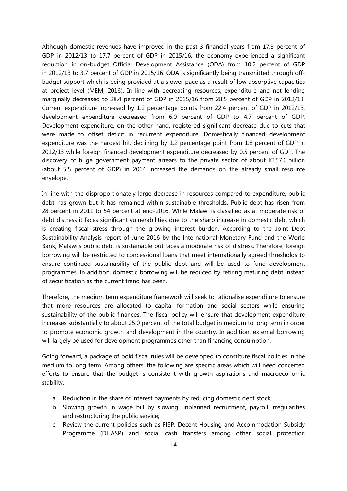Although domestic revenues have improved in the past 3 financial years from 17.3 percent of GDP in 2012/13 to 17.7 percent of GDP in 2015/16, the economy experienced a significant reduction in on-budget Official Development Assistance (ODA) from 10.2 percent of GDP in 2012/13 to 3.7 percent of GDP in 2015/16. ODA is significantly being transmitted through offbudget support which is being provided at a slower pace as a result of low absorptive capacities at project level (MEM, 2016). In line with decreasing resources, expenditure and net lending marginally decreased to 28.4 percent of GDP in 2015/16 from 28.5 percent of GDP in 2012/13. Current expenditure increased by 1.2 percentage points from 22.4 percent of GDP in 2012/13, development expenditure decreased from 6.0 percent of GDP to 4.7 percent of GDP. Development expenditure, on the other hand, registered significant decrease due to cuts that were made to offset deficit in recurrent expenditure. Domestically financed development expenditure was the hardest hit, declining by 1.2 percentage point from 1.8 percent of GDP in 2012/13 while foreign financed development expenditure decreased by 0.5 percent of GDP. The discovery of huge government payment arrears to the private sector of about K157.0 billion (about 5.5 percent of GDP) in 2014 increased the demands on the already small resource envelope.

In line with the disproportionately large decrease in resources compared to expenditure, public debt has grown but it has remained within sustainable thresholds. Public debt has risen from 28 percent in 2011 to 54 percent at end-2016. While Malawi is classified as at moderate risk of debt distress it faces significant vulnerabilities due to the sharp increase in domestic debt which is creating fiscal stress through the growing interest burden. According to the Joint Debt Sustainability Analysis report of June 2016 by the International Monetary Fund and the World Bank, Malawi's public debt is sustainable but faces a moderate risk of distress. Therefore, foreign borrowing will be restricted to concessional loans that meet internationally agreed thresholds to ensure continued sustainability of the public debt and will be used to fund development programmes. In addition, domestic borrowing will be reduced by retiring maturing debt instead of securitization as the current trend has been.

Therefore, the medium term expenditure framework will seek to rationalise expenditure to ensure that more resources are allocated to capital formation and social sectors while ensuring sustainability of the public finances. The fiscal policy will ensure that development expenditure increases substantially to about 25.0 percent of the total budget in medium to long term in order to promote economic growth and development in the country. In addition, external borrowing will largely be used for development programmes other than financing consumption.

Going forward, a package of bold fiscal rules will be developed to constitute fiscal policies in the medium to long term. Among others, the following are specific areas which will need concerted efforts to ensure that the budget is consistent with growth aspirations and macroeconomic stability.

- a. Reduction in the share of interest payments by reducing domestic debt stock;
- b. Slowing growth in wage bill by slowing unplanned recruitment, payroll irregularities and restructuring the public service;
- c. Review the current policies such as FISP, Decent Housing and Accommodation Subsidy Programme (DHASP) and social cash transfers among other social protection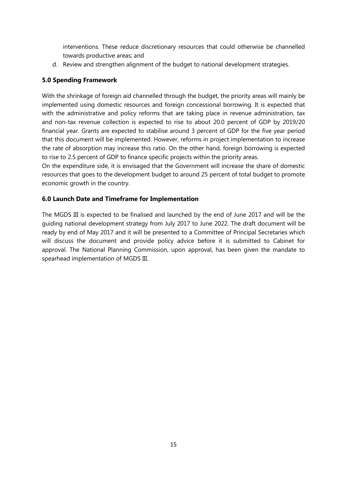interventions. These reduce discretionary resources that could otherwise be channelled towards productive areas; and

d. Review and strengthen alignment of the budget to national development strategies.

### <span id="page-23-0"></span>**5.0 Spending Framework**

With the shrinkage of foreign aid channelled through the budget, the priority areas will mainly be implemented using domestic resources and foreign concessional borrowing. It is expected that with the administrative and policy reforms that are taking place in revenue administration, tax and non-tax revenue collection is expected to rise to about 20.0 percent of GDP by 2019/20 financial year. Grants are expected to stabilise around 3 percent of GDP for the five year period that this document will be implemented. However, reforms in project implementation to increase the rate of absorption may increase this ratio. On the other hand, foreign borrowing is expected to rise to 2.5 percent of GDP to finance specific projects within the priority areas.

On the expenditure side, it is envisaged that the Government will increase the share of domestic resources that goes to the development budget to around 25 percent of total budget to promote economic growth in the country.

#### <span id="page-23-1"></span>**6.0 Launch Date and Timeframe for Implementation**

The MGDS III is expected to be finalised and launched by the end of June 2017 and will be the guiding national development strategy from July 2017 to June 2022. The draft document will be ready by end of May 2017 and it will be presented to a Committee of Principal Secretaries which will discuss the document and provide policy advice before it is submitted to Cabinet for approval. The National Planning Commission, upon approval, has been given the mandate to spearhead implementation of MGDS III.